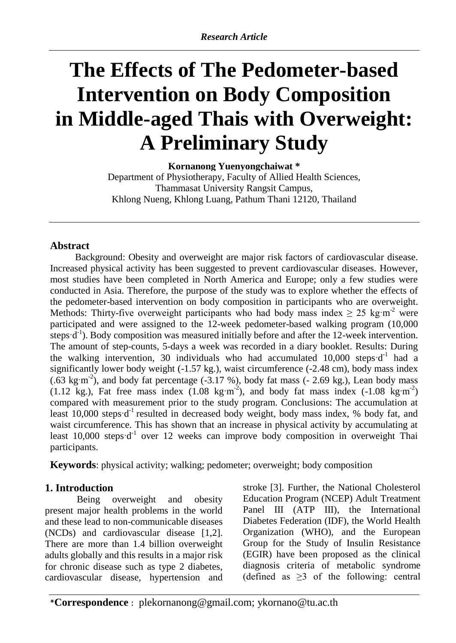# **The Effects of The Pedometer-based Intervention on Body Composition in Middle-aged Thais with Overweight: A Preliminary Study**

**Kornanong Yuenyongchaiwat \*** Department of Physiotherapy, Faculty of Allied Health Sciences, Thammasat University Rangsit Campus, Khlong Nueng, Khlong Luang, Pathum Thani 12120, Thailand

## **Abstract**

Background: Obesity and overweight are major risk factors of cardiovascular disease. Increased physical activity has been suggested to prevent cardiovascular diseases. However, most studies have been completed in North America and Europe; only a few studies were conducted in Asia. Therefore, the purpose of the study was to explore whether the effects of the pedometer-based intervention on body composition in participants who are overweight. Methods: Thirty-five overweight participants who had body mass index  $\geq 25 \text{ kg} \cdot \text{m}^2$  were participated and were assigned to the 12-week pedometer-based walking program (10,000 steps  $\mathbf{d}^{-1}$ ). Body composition was measured initially before and after the 12-week intervention. The amount of step-counts, 5-days a week was recorded in a diary booklet. Results: During the walking intervention, 30 individuals who had accumulated  $10,000$  steps d<sup>-1</sup> had a significantly lower body weight (-1.57 kg.), waist circumference (-2.48 cm), body mass index  $(.63 \text{ kg} \cdot \text{m}^2)$ , and body fat percentage  $(.3.17 \%)$ , body fat mass  $(-2.69 \text{ kg}.)$ , Lean body mass  $(1.12 \text{ kg.})$ , Fat free mass index  $(1.08 \text{ kg} \cdot \text{m}^2)$ , and body fat mass index  $(-1.08 \text{ kg} \cdot \text{m}^2)$ compared with measurement prior to the study program. Conclusions: The accumulation at least 10,000 steps d<sup>-1</sup> resulted in decreased body weight, body mass index, % body fat, and waist circumference. This has shown that an increase in physical activity by accumulating at least  $10,000$  steps  $d^{-1}$  over 12 weeks can improve body composition in overweight Thai participants.

**Keywords**: physical activity; walking; pedometer; overweight; body composition

## **1. Introduction**

Being overweight and obesity present major health problems in the world and these lead to non-communicable diseases (NCDs) and cardiovascular disease [1,2]. There are more than 1.4 billion overweight adults globally and this results in a major risk for chronic disease such as type 2 diabetes, cardiovascular disease, hypertension and

stroke [3]. Further, the National Cholesterol Education Program (NCEP) Adult Treatment Panel III (ATP III), the International Diabetes Federation (IDF), the World Health Organization (WHO), and the European Group for the Study of Insulin Resistance (EGIR) have been proposed as the clinical diagnosis criteria of metabolic syndrome (defined as  $\geq$ 3 of the following: central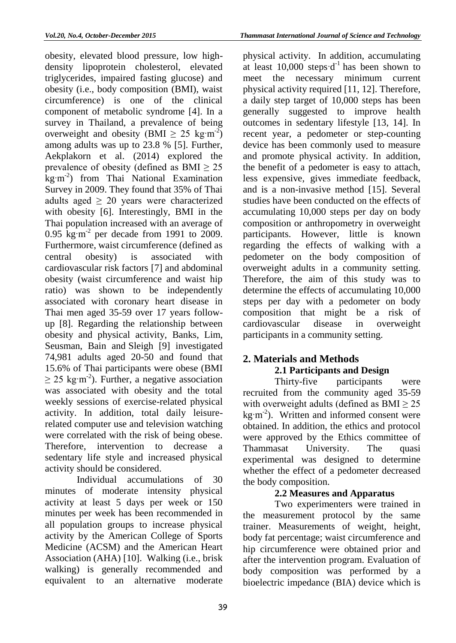obesity, elevated blood pressure, low highdensity lipoprotein cholesterol, elevated triglycerides, impaired fasting glucose) and obesity (i.e., body composition (BMI), waist circumference) is one of the clinical component of metabolic syndrome [4]. In a survey in Thailand, a prevalence of being overweight and obesity (BMI  $\geq 25 \text{ kg} \cdot \text{m}^{-2}$ ) among adults was up to 23.8 % [5]. Further, Aekplakorn et al. (2014) explored the prevalence of obesity (defined as  $BMI \geq 25$ kg·m<sup>-2</sup>) from Thai National Examination Survey in 2009. They found that 35% of Thai adults aged  $\geq 20$  years were characterized with obesity [6]. Interestingly, BMI in the Thai population increased with an average of 0.95  $\text{kg} \cdot \text{m}^{-2}$  per decade from 1991 to 2009. Furthermore, waist circumference (defined as central obesity) is associated with cardiovascular risk factors [7] and abdominal obesity (waist circumference and waist hip ratio) was shown to be independently associated with coronary heart disease in Thai men aged 35-59 over 17 years followup [8]. Regarding the relationship between obesity and physical activity, Banks, Lim, Seusman, Bain and Sleigh [9] investigated 74,981 adults aged 20-50 and found that 15.6% of Thai participants were obese (BMI  $\geq$  25 kg·m<sup>-2</sup>). Further, a negative association was associated with obesity and the total weekly sessions of exercise-related physical activity. In addition, total daily leisurerelated computer use and television watching were correlated with the risk of being obese. Therefore, intervention to decrease a sedentary life style and increased physical activity should be considered.

Individual accumulations of 30 minutes of moderate intensity physical activity at least 5 days per week or 150 minutes per week has been recommended in all population groups to increase physical activity by the American College of Sports Medicine (ACSM) and the American Heart Association (AHA) [10]. Walking (i.e., brisk walking) is generally recommended and equivalent to an alternative moderate

physical activity. In addition, accumulating at least  $10,000$  steps  $d^{-1}$  has been shown to meet the necessary minimum current physical activity required [11, 12]. Therefore, a daily step target of 10,000 steps has been generally suggested to improve health outcomes in sedentary lifestyle [13, 14]. In recent year, a pedometer or step-counting device has been commonly used to measure and promote physical activity. In addition, the benefit of a pedometer is easy to attach, less expensive, gives immediate feedback, and is a non-invasive method [15]. Several studies have been conducted on the effects of accumulating 10,000 steps per day on body composition or anthropometry in overweight participants. However, little is known regarding the effects of walking with a pedometer on the body composition of overweight adults in a community setting. Therefore, the aim of this study was to determine the effects of accumulating 10,000 steps per day with a pedometer on body composition that might be a risk of cardiovascular disease in overweight participants in a community setting.

## **2. Materials and Methods 2.1 Participants and Design**

Thirty-five participants were recruited from the community aged 35-59 with overweight adults (defined as  $BMI \geq 25$  $kg·m<sup>-2</sup>$ ). Written and informed consent were obtained. In addition, the ethics and protocol were approved by the Ethics committee of Thammasat University. The quasi experimental was designed to determine whether the effect of a pedometer decreased the body composition.

## **2.2 Measures and Apparatus**

Two experimenters were trained in the measurement protocol by the same trainer. Measurements of weight, height, body fat percentage; waist circumference and hip circumference were obtained prior and after the intervention program. Evaluation of body composition was performed by a bioelectric impedance (BIA) device which is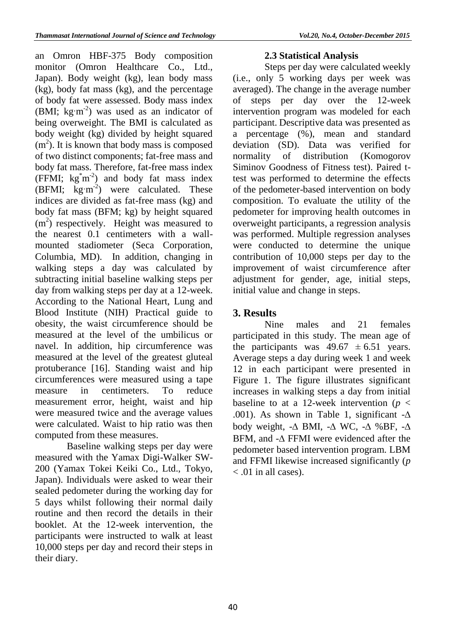an Omron HBF-375 Body composition monitor (Omron Healthcare Co., Ltd., Japan). Body weight (kg), lean body mass (kg), body fat mass (kg), and the percentage of body fat were assessed. Body mass index (BMI;  $kg·m<sup>-2</sup>$ ) was used as an indicator of being overweight. The BMI is calculated as body weight (kg) divided by height squared  $(m<sup>2</sup>)$ . It is known that body mass is composed of two distinct components; fat-free mass and body fat mass. Therefore, fat-free mass index (FFMI;  $kg^{\dagger}m^2$ ) and body fat mass index (BFMI;  $\text{kg}\cdot\text{m}^{-2}$ ) were calculated. These indices are divided as fat-free mass (kg) and body fat mass (BFM; kg) by height squared  $(m<sup>2</sup>)$  respectively. Height was measured to the nearest 0.1 centimeters with a wallmounted stadiometer (Seca Corporation, Columbia, MD). In addition, changing in walking steps a day was calculated by subtracting initial baseline walking steps per day from walking steps per day at a 12-week. According to the National Heart, Lung and Blood Institute (NIH) Practical guide to obesity, the waist circumference should be measured at the level of the umbilicus or navel. In addition, hip circumference was measured at the level of the greatest gluteal protuberance [16]. Standing waist and hip circumferences were measured using a tape measure in centimeters. To reduce measurement error, height, waist and hip were measured twice and the average values were calculated. Waist to hip ratio was then computed from these measures.

Baseline walking steps per day were measured with the Yamax Digi-Walker SW-200 (Yamax Tokei Keiki Co., Ltd., Tokyo, Japan). Individuals were asked to wear their sealed pedometer during the working day for 5 days whilst following their normal daily routine and then record the details in their booklet. At the 12-week intervention, the participants were instructed to walk at least 10,000 steps per day and record their steps in their diary.

#### **2.3 Statistical Analysis**

Steps per day were calculated weekly (i.e., only 5 working days per week was averaged). The change in the average number of steps per day over the 12-week intervention program was modeled for each participant. Descriptive data was presented as a percentage (%), mean and standard deviation (SD). Data was verified for normality of distribution (Komogorov Siminov Goodness of Fitness test). Paired ttest was performed to determine the effects of the pedometer-based intervention on body composition. To evaluate the utility of the pedometer for improving health outcomes in overweight participants, a regression analysis was performed. Multiple regression analyses were conducted to determine the unique contribution of 10,000 steps per day to the improvement of waist circumference after adjustment for gender, age, initial steps, initial value and change in steps.

## **3. Results**

Nine males and 21 females participated in this study. The mean age of the participants was  $49.67 \pm 6.51$  years. Average steps a day during week 1 and week 12 in each participant were presented in Figure 1. The figure illustrates significant increases in walking steps a day from initial baseline to at a 12-week intervention ( $p <$ .001). As shown in Table 1, significant  $-\Delta$ body weight,  $-\Delta$  BMI,  $-\Delta$  WC,  $-\Delta$  %BF,  $-\Delta$ BFM, and  $-\Delta$  FFMI were evidenced after the pedometer based intervention program. LBM and FFMI likewise increased significantly (*p* < .01 in all cases).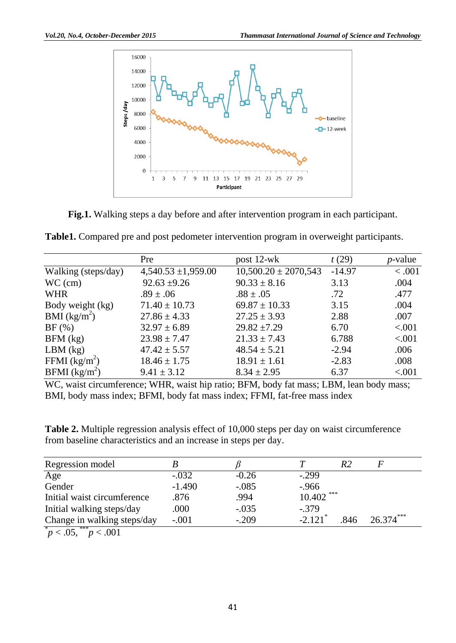

**Fig.1.** Walking steps a day before and after intervention program in each participant.

|  |  |  | Table1. Compared pre and post pedometer intervention program in overweight participants. |  |
|--|--|--|------------------------------------------------------------------------------------------|--|
|  |  |  |                                                                                          |  |

|                             | Pre                     | post $12$ -wk            | t(29)    | <i>p</i> -value |
|-----------------------------|-------------------------|--------------------------|----------|-----------------|
| Walking (steps/day)         | $4,540.53 \pm 1,959.00$ | $10,500.20 \pm 2070,543$ | $-14.97$ | < .001          |
| $WC$ (cm)                   | $92.63 \pm 9.26$        | $90.33 \pm 8.16$         | 3.13     | .004            |
| <b>WHR</b>                  | $.89 \pm .06$           | $.88 \pm .05$            | .72      | .477            |
| Body weight (kg)            | $71.40 \pm 10.73$       | $69.87 \pm 10.33$        | 3.15     | .004            |
| BMI $(kg/m^2)$              | $27.86 \pm 4.33$        | $27.25 \pm 3.93$         | 2.88     | .007            |
| BF(%)                       | $32.97 \pm 6.89$        | $29.82 \pm 7.29$         | 6.70     | < 0.001         |
| $BFM$ (kg)                  | $23.98 \pm 7.47$        | $21.33 \pm 7.43$         | 6.788    | < .001          |
| $LBM$ (kg)                  | $47.42 \pm 5.57$        | $48.54 \pm 5.21$         | $-2.94$  | .006            |
| FFMI $(kg/m^2)$             | $18.46 \pm 1.75$        | $18.91 \pm 1.61$         | $-2.83$  | .008            |
| $BFMI$ (kg/m <sup>2</sup> ) | $9.41 \pm 3.12$         | $8.34 \pm 2.95$          | 6.37     | < .001          |

WC, waist circumference; WHR, waist hip ratio; BFM, body fat mass; LBM, lean body mass; BMI, body mass index; BFMI, body fat mass index; FFMI, fat-free mass index

**Table 2.** Multiple regression analysis effect of 10,000 steps per day on waist circumference from baseline characteristics and an increase in steps per day.

| Regression model                                 |          |         |                       | R2   |             |
|--------------------------------------------------|----------|---------|-----------------------|------|-------------|
| Age                                              | $-.032$  | $-0.26$ | $-0.299$              |      |             |
| Gender                                           | $-1.490$ | $-.085$ | $-966$                |      |             |
| Initial waist circumference                      | .876     | .994    | 10.402                | ***  |             |
| Initial walking steps/day                        | .000     | $-.035$ | $-.379$               |      |             |
| Change in walking steps/day                      | $-.001$  | $-.209$ | $-2.121$ <sup>*</sup> | .846 | $26.374***$ |
| $*$<br>$\Delta C$ <sup>***</sup><br>$. \n^\circ$ |          |         |                       |      |             |

 $p < .05, \frac{***}{p} < .001$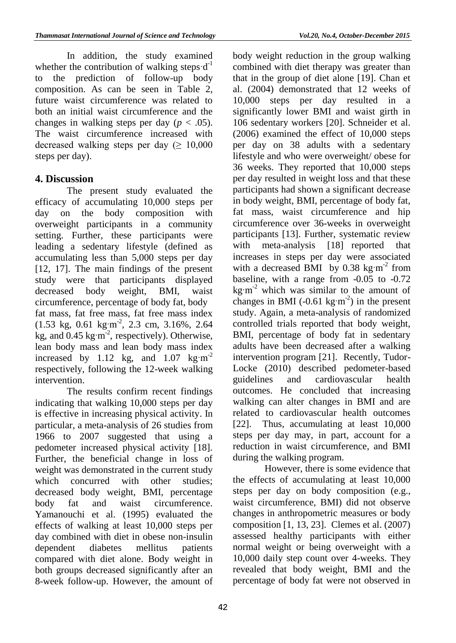In addition, the study examined whether the contribution of walking steps  $d^{-1}$ to the prediction of follow-up body composition. As can be seen in Table 2, future waist circumference was related to both an initial waist circumference and the changes in walking steps per day ( $p < .05$ ). The waist circumference increased with decreased walking steps per day ( $\geq 10,000$ ) steps per day).

## **4. Discussion**

The present study evaluated the efficacy of accumulating 10,000 steps per day on the body composition with overweight participants in a community setting. Further, these participants were leading a sedentary lifestyle (defined as accumulating less than 5,000 steps per day [12, 17]. The main findings of the present study were that participants displayed decreased body weight, BMI, waist circumference, percentage of body fat, body fat mass, fat free mass, fat free mass index  $(1.53 \text{ kg}, 0.61 \text{ kg} \cdot \text{m}^2, 2.3 \text{ cm}, 3.16\%, 2.64)$ kg, and  $0.45 \text{ kg} \cdot \text{m}^{-2}$ , respectively). Otherwise, lean body mass and lean body mass index increased by 1.12 kg, and  $1.07 \text{ kg} \cdot \text{m}^{-2}$ respectively, following the 12-week walking intervention.

The results confirm recent findings indicating that walking 10,000 steps per day is effective in increasing physical activity. In particular, a meta-analysis of 26 studies from 1966 to 2007 suggested that using a pedometer increased physical activity [18]. Further, the beneficial change in loss of weight was demonstrated in the current study which concurred with other studies: decreased body weight, BMI, percentage body fat and waist circumference. Yamanouchi et al. (1995) evaluated the effects of walking at least 10,000 steps per day combined with diet in obese non-insulin dependent diabetes mellitus patients compared with diet alone. Body weight in both groups decreased significantly after an 8-week follow-up. However, the amount of body weight reduction in the group walking combined with diet therapy was greater than that in the group of diet alone [19]. Chan et al. (2004) demonstrated that 12 weeks of 10,000 steps per day resulted in a significantly lower BMI and waist girth in 106 sedentary workers [20]. Schneider et al. (2006) examined the effect of 10,000 steps per day on 38 adults with a sedentary lifestyle and who were overweight/ obese for 36 weeks. They reported that 10,000 steps per day resulted in weight loss and that these participants had shown a significant decrease in body weight, BMI, percentage of body fat, fat mass, waist circumference and hip circumference over 36-weeks in overweight participants [13]. Further, systematic review with meta-analysis [18] reported that increases in steps per day were associated with a decreased BMI by  $0.38 \text{ kg} \cdot \text{m}^{-2}$  from baseline, with a range from -0.05 to -0.72 kg $\rm \,m^2$  which was similar to the amount of changes in BMI (-0.61 kg·m<sup>-2</sup>) in the present study. Again, a meta-analysis of randomized controlled trials reported that body weight, BMI, percentage of body fat in sedentary adults have been decreased after a walking intervention program [21]. Recently, Tudor-Locke (2010) described pedometer-based guidelines and cardiovascular health outcomes. He concluded that increasing walking can alter changes in BMI and are related to cardiovascular health outcomes [22]. Thus, accumulating at least 10,000 steps per day may, in part, account for a reduction in waist circumference, and BMI during the walking program.

However, there is some evidence that the effects of accumulating at least 10,000 steps per day on body composition (e.g., waist circumference, BMI) did not observe changes in anthropometric measures or body composition [1, 13, 23]. Clemes et al. (2007) assessed healthy participants with either normal weight or being overweight with a 10,000 daily step count over 4-weeks. They revealed that body weight, BMI and the percentage of body fat were not observed in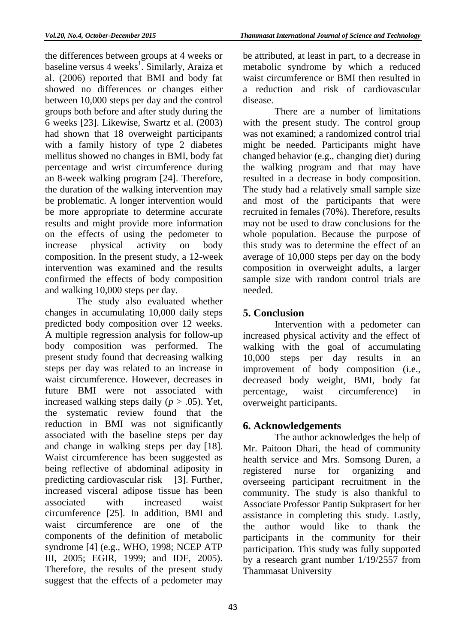the differences between groups at 4 weeks or baseline versus 4 weeks<sup>1</sup>. Similarly, Araiza et al. (2006) reported that BMI and body fat showed no differences or changes either between 10,000 steps per day and the control groups both before and after study during the 6 weeks [23]. Likewise, Swartz et al. (2003) had shown that 18 overweight participants with a family history of type 2 diabetes mellitus showed no changes in BMI, body fat percentage and wrist circumference during an 8-week walking program [24]. Therefore, the duration of the walking intervention may be problematic. A longer intervention would be more appropriate to determine accurate results and might provide more information on the effects of using the pedometer to increase physical activity on body composition. In the present study, a 12-week intervention was examined and the results confirmed the effects of body composition and walking 10,000 steps per day.

The study also evaluated whether changes in accumulating 10,000 daily steps predicted body composition over 12 weeks. A multiple regression analysis for follow-up body composition was performed. The present study found that decreasing walking steps per day was related to an increase in waist circumference. However, decreases in future BMI were not associated with increased walking steps daily  $(p > .05)$ . Yet, the systematic review found that the reduction in BMI was not significantly associated with the baseline steps per day and change in walking steps per day [18]. Waist circumference has been suggested as being reflective of abdominal adiposity in predicting cardiovascular risk [3]. Further, increased visceral adipose tissue has been associated with increased waist circumference [25]. In addition, BMI and waist circumference are one of the components of the definition of metabolic syndrome [4] (e.g., WHO, 1998; NCEP ATP III, 2005; EGIR, 1999; and IDF, 2005). Therefore, the results of the present study suggest that the effects of a pedometer may be attributed, at least in part, to a decrease in metabolic syndrome by which a reduced waist circumference or BMI then resulted in a reduction and risk of cardiovascular disease.

There are a number of limitations with the present study. The control group was not examined; a randomized control trial might be needed. Participants might have changed behavior (e.g., changing diet) during the walking program and that may have resulted in a decrease in body composition. The study had a relatively small sample size and most of the participants that were recruited in females (70%). Therefore, results may not be used to draw conclusions for the whole population. Because the purpose of this study was to determine the effect of an average of 10,000 steps per day on the body composition in overweight adults, a larger sample size with random control trials are needed.

## **5. Conclusion**

Intervention with a pedometer can increased physical activity and the effect of walking with the goal of accumulating 10,000 steps per day results in an improvement of body composition (i.e., decreased body weight, BMI, body fat percentage, waist circumference) in overweight participants.

## **6. Acknowledgements**

The author acknowledges the help of Mr. Paitoon Dhari, the head of community health service and Mrs. Somsong Duren, a registered nurse for organizing and overseeing participant recruitment in the community. The study is also thankful to Associate Professor Pantip Sukprasert for her assistance in completing this study. Lastly, the author would like to thank the participants in the community for their participation. This study was fully supported by a research grant number 1/19/2557 from Thammasat University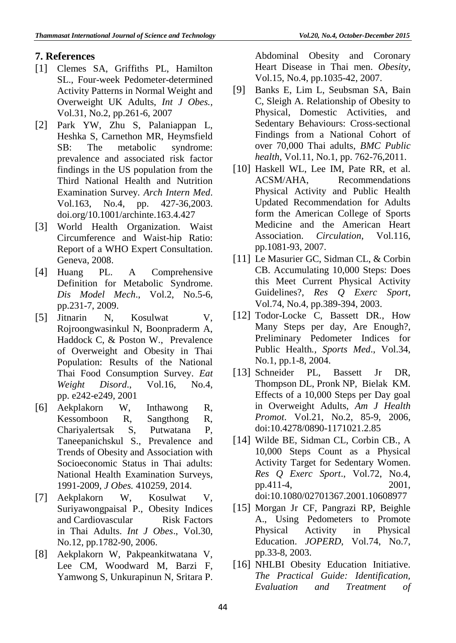## **7. References**

- [1] Clemes SA, Griffiths PL, Hamilton SL., Four-week Pedometer-determined Activity Patterns in Normal Weight and Overweight UK Adults, *Int J Obes.,* Vol.31, No.2, pp.261-6, 2007
- [2] Park YW, Zhu S, Palaniappan L, Heshka S, Carnethon MR, Heymsfield SB: The metabolic syndrome: prevalence and associated risk factor findings in the US population from the Third National Health and Nutrition Examination Survey*. Arch Intern Med*. Vol.163, No.4, pp. 427-36,2003. doi.org/10.1001/archinte.163.4.427
- [3] World Health Organization. Waist Circumference and Waist-hip Ratio: Report of a WHO Expert Consultation. Geneva, 2008.
- [4] Huang PL. A Comprehensive Definition for Metabolic Syndrome. *Dis Model Mech*., Vol.2, No.5-6, pp.231-7, 2009.
- [5] Jitnarin N, Kosulwat V, Rojroongwasinkul N, Boonpraderm A, Haddock C, & Poston W., Prevalence of Overweight and Obesity in Thai Population: Results of the National Thai Food Consumption Survey. *Eat Weight Disord*., Vol.16, No.4, pp. e242-e249, 2001
- [6] Aekplakorn W, Inthawong R, Kessomboon R, Sangthong R, Chariyalertsak S, Putwatana P, Taneepanichskul S., Prevalence and Trends of Obesity and Association with Socioeconomic Status in Thai adults: National Health Examination Surveys, 1991-2009, *J Obes.* 410259, 2014.
- [7] Aekplakorn W, Kosulwat V, Suriyawongpaisal P., Obesity Indices and Cardiovascular Risk Factors in Thai Adults. *Int J Obes*., Vol.30, No.12, pp.1782-90, 2006.
- [8] Aekplakorn W, Pakpeankitwatana V, Lee CM, Woodward M, Barzi F, Yamwong S, Unkurapinun N, Sritara P.

Abdominal Obesity and Coronary Heart Disease in Thai men. *Obesity*, Vol.15, No.4, pp.1035-42, 2007.

- [9] Banks E, Lim L, Seubsman SA, Bain C, Sleigh A. Relationship of Obesity to Physical, Domestic Activities, and Sedentary Behaviours: Cross-sectional Findings from a National Cohort of over 70,000 Thai adults, *BMC Public health*, Vol.11, No.1, pp. 762-76,2011.
- [10] Haskell WL, Lee IM, Pate RR, et al. ACSM/AHA, Recommendations Physical Activity and Public Health Updated Recommendation for Adults form the American College of Sports Medicine and the American Heart Association. *Circulation*, Vol.116, pp.1081-93, 2007.
- [11] Le Masurier GC, Sidman CL, & Corbin CB. Accumulating 10,000 Steps: Does this Meet Current Physical Activity Guidelines?, *Res Q Exerc Sport*, Vol.74, No.4, pp.389-394, 2003.
- [12] Todor-Locke C, Bassett DR., How Many Steps per day, Are Enough?, Preliminary Pedometer Indices for Public Health*., Sports Med*., Vol.34, No.1, pp.1-8, 2004.
- [13] Schneider PL, Bassett Jr DR, Thompson DL, Pronk NP, Bielak KM. Effects of a 10,000 Steps per Day goal in Overweight Adults, *Am J Health Promot*. Vol.21, No.2, 85-9, 2006, [doi:10.4278/0890-1171021.2.85](http://dx.doi.org/10.4278/0890-1171021.2.85)
- [14] Wilde BE, Sidman CL, Corbin CB., A 10,000 Steps Count as a Physical Activity Target for Sedentary Women. *Res Q Exerc Sport*., Vol.72, No.4, pp.411-4, 2001, doi:10.1080/02701367.2001.10608977
- [15] Morgan Jr CF, Pangrazi RP, Beighle A., Using Pedometers to Promote Physical Activity in Physical Education. *JOPERD*, Vol.74, No.7, pp.33-8, 2003.
- [16] NHLBI Obesity Education Initiative. *The Practical Guide: Identification, Evaluation and Treatment of*